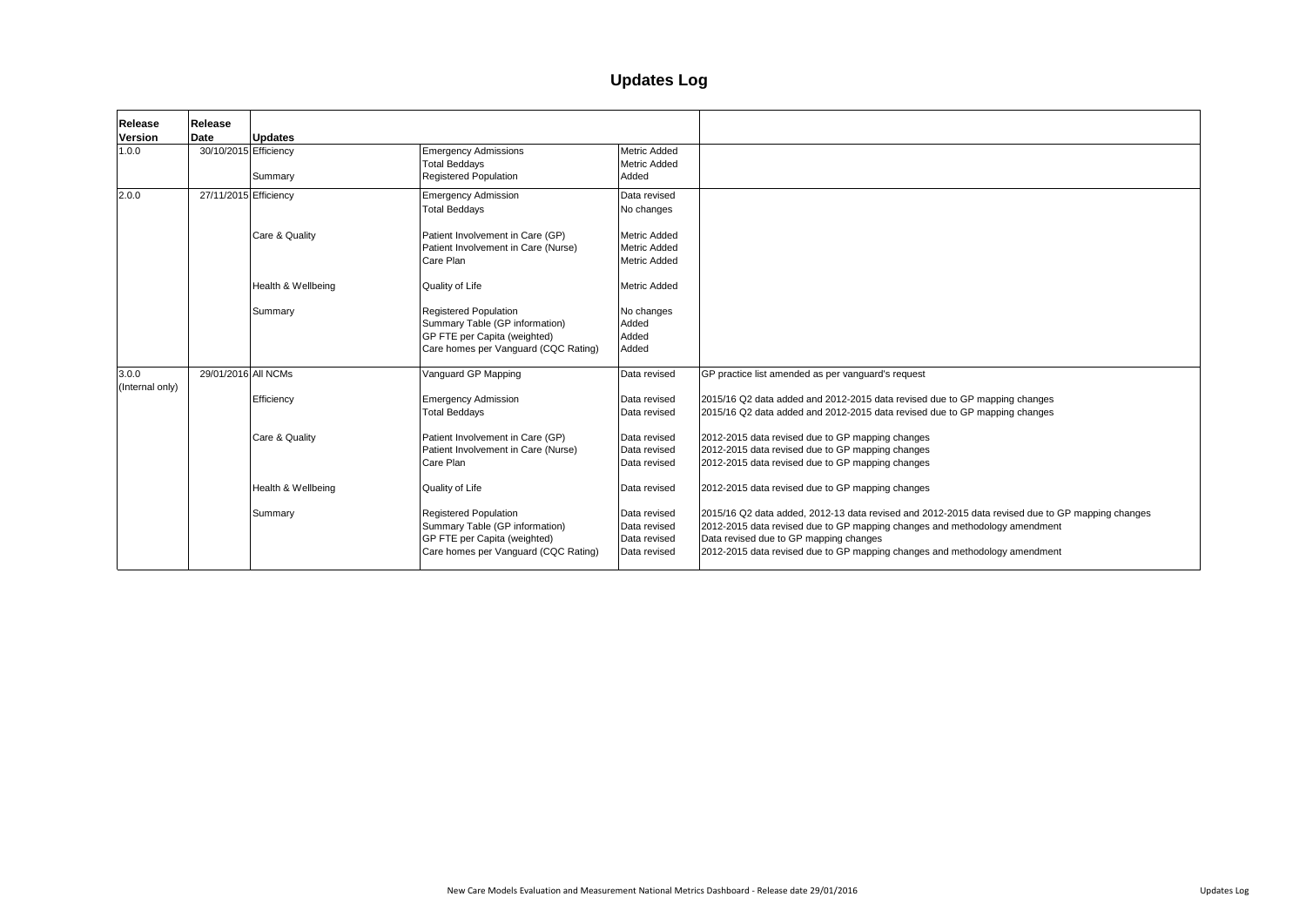| Release<br><b>Version</b> | Release<br><b>Date</b> | <b>Updates</b>     |                                                                                                                                        |                                                                   |                                                                                                                                                                                                                                                                                 |
|---------------------------|------------------------|--------------------|----------------------------------------------------------------------------------------------------------------------------------------|-------------------------------------------------------------------|---------------------------------------------------------------------------------------------------------------------------------------------------------------------------------------------------------------------------------------------------------------------------------|
| 1.0.0                     | 30/10/2015 Efficiency  | Summary            | <b>Emergency Admissions</b><br><b>Total Beddays</b><br><b>Registered Population</b>                                                    | Metric Added<br><b>Metric Added</b><br>Added                      |                                                                                                                                                                                                                                                                                 |
| 2.0.0                     | 27/11/2015 Efficiency  |                    | <b>Emergency Admission</b><br><b>Total Beddays</b>                                                                                     | Data revised<br>No changes                                        |                                                                                                                                                                                                                                                                                 |
|                           |                        | Care & Quality     | Patient Involvement in Care (GP)<br>Patient Involvement in Care (Nurse)<br>Care Plan                                                   | <b>Metric Added</b><br><b>Metric Added</b><br><b>Metric Added</b> |                                                                                                                                                                                                                                                                                 |
|                           |                        | Health & Wellbeing | Quality of Life                                                                                                                        | <b>Metric Added</b>                                               |                                                                                                                                                                                                                                                                                 |
|                           |                        | Summary            | <b>Registered Population</b><br>Summary Table (GP information)<br>GP FTE per Capita (weighted)<br>Care homes per Vanguard (CQC Rating) | No changes<br>Added<br>Added<br>Added                             |                                                                                                                                                                                                                                                                                 |
| 3.0.0<br>(Internal only)  | 29/01/2016 All NCMs    |                    | Vanguard GP Mapping                                                                                                                    | Data revised                                                      | GP practice list amended as per vanguard's request                                                                                                                                                                                                                              |
|                           |                        | Efficiency         | <b>Emergency Admission</b><br><b>Total Beddays</b>                                                                                     | Data revised<br>Data revised                                      | 2015/16 Q2 data added and 2012-2015 data revised due to GP mapping changes<br>2015/16 Q2 data added and 2012-2015 data revised due to GP mapping changes                                                                                                                        |
|                           |                        | Care & Quality     | Patient Involvement in Care (GP)<br>Patient Involvement in Care (Nurse)<br>Care Plan                                                   | Data revised<br>Data revised<br>Data revised                      | 2012-2015 data revised due to GP mapping changes<br>2012-2015 data revised due to GP mapping changes<br>2012-2015 data revised due to GP mapping changes                                                                                                                        |
|                           |                        | Health & Wellbeing | Quality of Life                                                                                                                        | Data revised                                                      | 2012-2015 data revised due to GP mapping changes                                                                                                                                                                                                                                |
|                           |                        | Summary            | <b>Registered Population</b><br>Summary Table (GP information)<br>GP FTE per Capita (weighted)<br>Care homes per Vanguard (CQC Rating) | Data revised<br>Data revised<br>Data revised<br>Data revised      | 2015/16 Q2 data added, 2012-13 data revised and 2012-2015 data revised due to<br>2012-2015 data revised due to GP mapping changes and methodology amendme<br>Data revised due to GP mapping changes<br>2012-2015 data revised due to GP mapping changes and methodology amendme |

napping changes<br>napping changes

ta revised due to GP mapping changes ology amendment

ology amendment

# **Updates Log**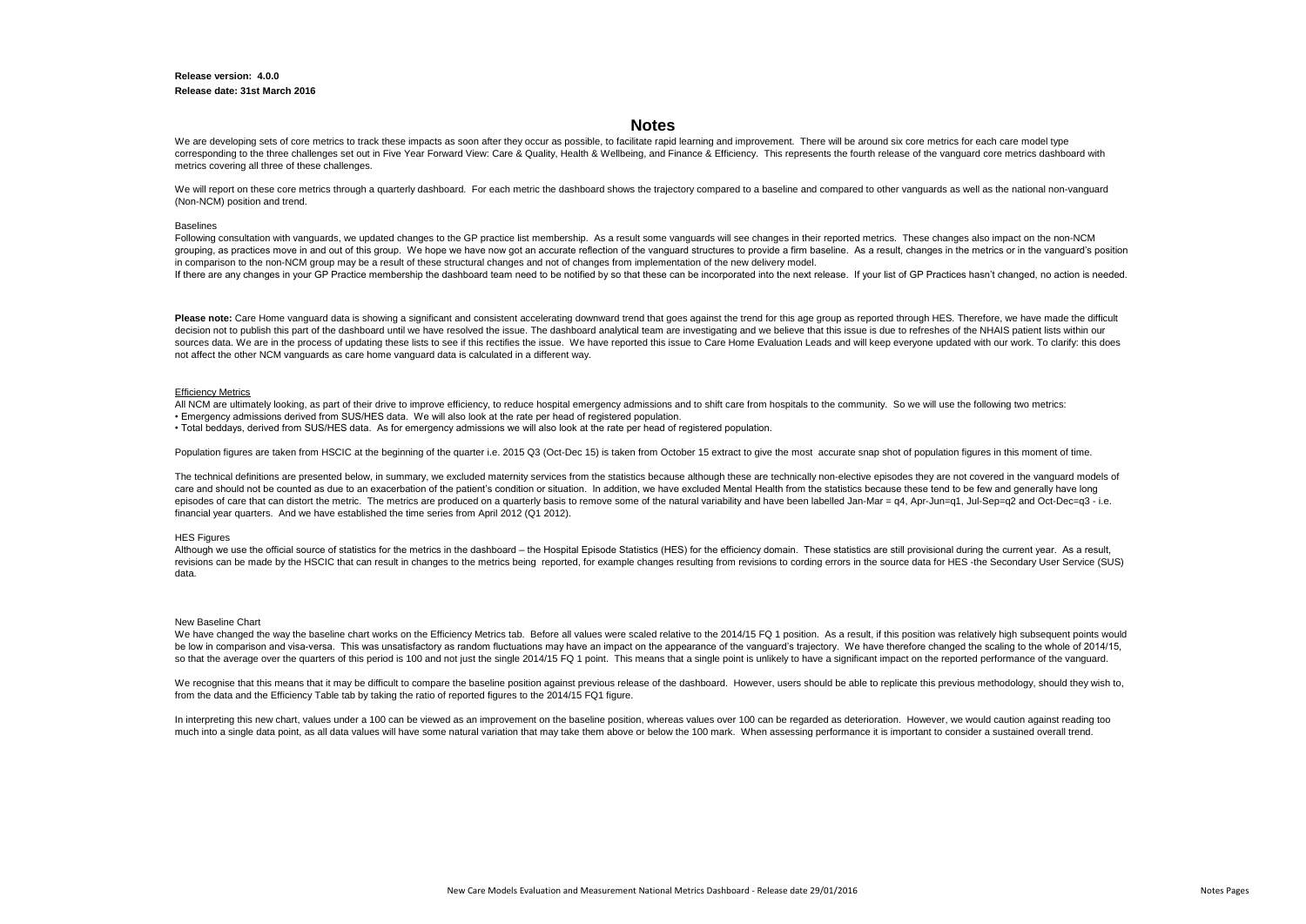## **Release version: 4.0.0 Release date: 31st March 2016**

#### New Baseline Chart

We have changed the way the baseline chart works on the Efficiency Metrics tab. Before all values were scaled relative to the 2014/15 FQ 1 position. As a result, if this position was relatively high subsequent points would be low in comparison and visa-versa. This was unsatisfactory as random fluctuations may have an impact on the appearance of the vanguard's trajectory. We have therefore changed the scaling to the whole of 2014/15, so that the average over the quarters of this period is 100 and not just the single 2014/15 FQ 1 point. This means that a single point is unlikely to have a significant impact on the reported performance of the vanguard.

We recognise that this means that it may be difficult to compare the baseline position against previous release of the dashboard. However, users should be able to replicate this previous methodology, should they wish to, from the data and the Efficiency Table tab by taking the ratio of reported figures to the 2014/15 FQ1 figure.

In interpreting this new chart, values under a 100 can be viewed as an improvement on the baseline position, whereas values over 100 can be regarded as deterioration. However, we would caution against reading too much into a single data point, as all data values will have some natural variation that may take them above or below the 100 mark. When assessing performance it is important to consider a sustained overall trend.

We are developing sets of core metrics to track these impacts as soon after they occur as possible, to facilitate rapid learning and improvement. There will be around six core metrics for each care model type corresponding to the three challenges set out in Five Year Forward View: Care & Quality, Health & Wellbeing, and Finance & Efficiency. This represents the fourth release of the vanguard core metrics dashboard with metrics covering all three of these challenges.

We will report on these core metrics through a quarterly dashboard. For each metric the dashboard shows the trajectory compared to a baseline and compared to other vanguards as well as the national non-vanguard (Non-NCM) position and trend.

#### **Baselings**

Following consultation with vanguards, we updated changes to the GP practice list membership. As a result some vanguards will see changes in their reported metrics. These changes also impact on the non-NCM grouping, as practices move in and out of this group. We hope we have now got an accurate reflection of the vanguard structures to provide a firm baseline. As a result, changes in the metrics or in the vanguard's position in comparison to the non-NCM group may be a result of these structural changes and not of changes from implementation of the new delivery model. If there are any changes in your GP Practice membership the dashboard team need to be notified by so that these can be incorporated into the next release. If your list of GP Practices hasn't changed, no action is needed.

## **Notes**

All NCM are ultimately looking, as part of their drive to improve efficiency, to reduce hospital emergency admissions and to shift care from hospitals to the community. So we will use the following two metrics: • Emergency admissions derived from SUS/HES data. We will also look at the rate per head of registered population.

The technical definitions are presented below, in summary, we excluded maternity services from the statistics because although these are technically non-elective episodes they are not covered in the vanguard models of care and should not be counted as due to an exacerbation of the patient's condition or situation. In addition, we have excluded Mental Health from the statistics because these tend to be few and generally have long episodes of care that can distort the metric. The metrics are produced on a quarterly basis to remove some of the natural variability and have been labelled Jan-Mar = q4, Apr-Jun=q1, Jul-Sep=q2 and Oct-Dec=q3 - i.e. financial year quarters. And we have established the time series from April 2012 (Q1 2012).

#### **HES Figures**

Although we use the official source of statistics for the metrics in the dashboard – the Hospital Episode Statistics (HES) for the efficiency domain. These statistics are still provisional during the current year. As a res revisions can be made by the HSCIC that can result in changes to the metrics being reported, for example changes resulting from revisions to cording errors in the source data for HES -the Secondary User Service (SUS) data.

Please note: Care Home vanguard data is showing a significant and consistent accelerating downward trend that goes against the trend for this age group as reported through HES. Therefore, we have made the difficult decision not to publish this part of the dashboard until we have resolved the issue. The dashboard analytical team are investigating and we believe that this issue is due to refreshes of the NHAIS patient lists within our sources data. We are in the process of updating these lists to see if this rectifies the issue. We have reported this issue to Care Home Evaluation Leads and will keep everyone updated with our work. To clarify: this does not affect the other NCM vanguards as care home vanguard data is calculated in a different way.

### Efficiency Metrics

• Total beddays, derived from SUS/HES data. As for emergency admissions we will also look at the rate per head of registered population.

Population figures are taken from HSCIC at the beginning of the quarter i.e. 2015 Q3 (Oct-Dec 15) is taken from October 15 extract to give the most accurate snap shot of population figures in this moment of time.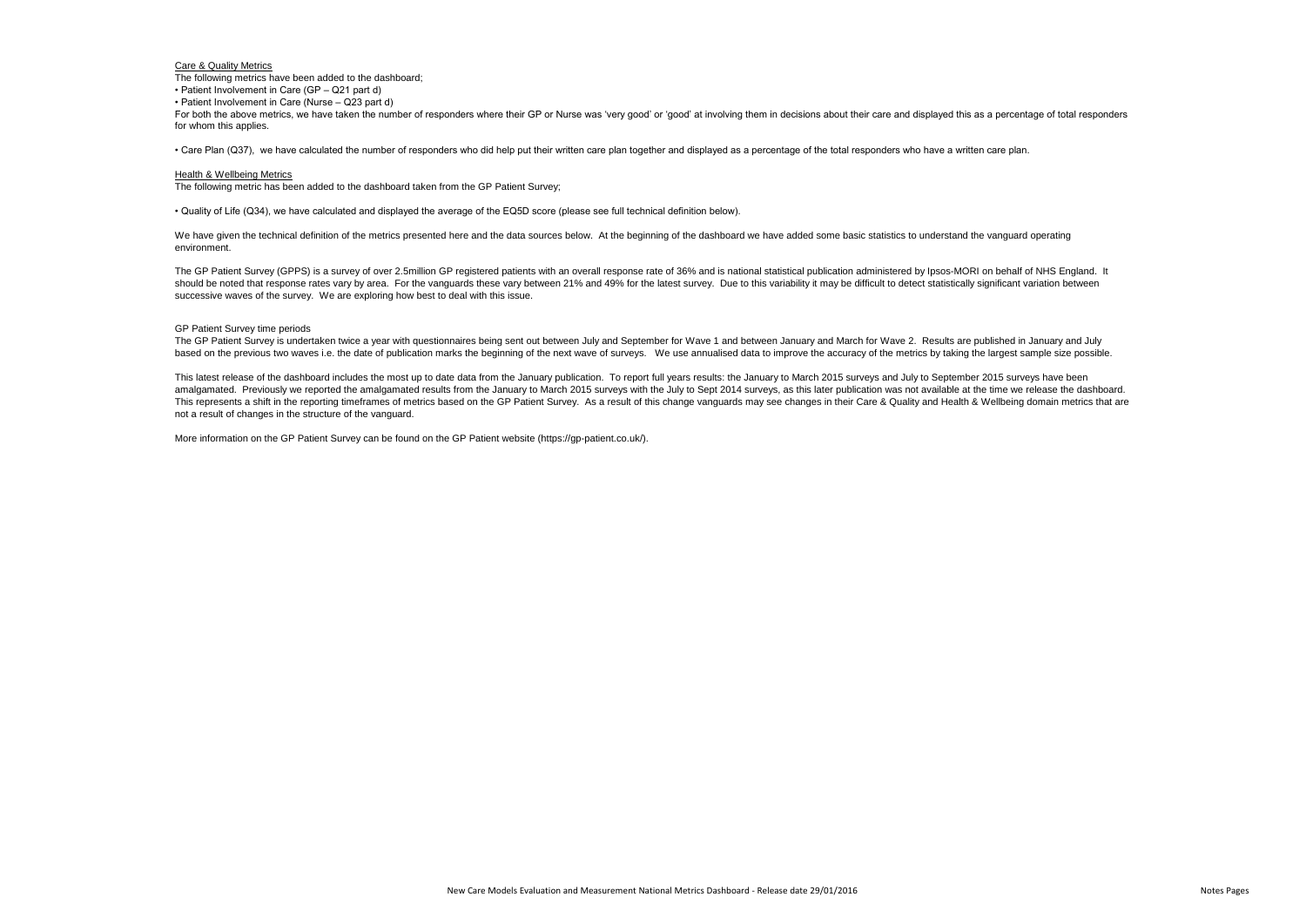## GP Patient Survey time periods

The GP Patient Survey is undertaken twice a year with questionnaires being sent out between July and September for Wave 1 and between January and March for Wave 2. Results are published in January and July based on the previous two waves i.e. the date of publication marks the beginning of the next wave of surveys. We use annualised data to improve the accuracy of the metrics by taking the largest sample size possible.

This latest release of the dashboard includes the most up to date data from the January publication. To report full years results: the January to March 2015 surveys and July to September 2015 surveys have been amalgamated. Previously we reported the amalgamated results from the January to March 2015 surveys with the July to Sept 2014 surveys, as this later publication was not available at the time we release the dashboard. This represents a shift in the reporting timeframes of metrics based on the GP Patient Survey. As a result of this change vanguards may see changes in their Care & Quality and Health & Wellbeing domain metrics that are not a result of changes in the structure of the vanguard.

For both the above metrics, we have taken the number of responders where their GP or Nurse was 'very good' or 'good' at involving them in decisions about their care and displayed this as a percentage of total responders for whom this applies.

We have given the technical definition of the metrics presented here and the data sources below. At the beginning of the dashboard we have added some basic statistics to understand the vanguard operating environment.

More information on the GP Patient Survey can be found on the GP Patient website (https://gp-patient.co.uk/).

## Care & Quality Metrics

The following metrics have been added to the dashboard;

• Patient Involvement in Care (GP – Q21 part d)

• Patient Involvement in Care (Nurse – Q23 part d)

• Care Plan (Q37), we have calculated the number of responders who did help put their written care plan together and displayed as a percentage of the total responders who have a written care plan.

### Health & Wellbeing Metrics

The following metric has been added to the dashboard taken from the GP Patient Survey;

• Quality of Life (Q34), we have calculated and displayed the average of the EQ5D score (please see full technical definition below).

The GP Patient Survey (GPPS) is a survey of over 2.5million GP registered patients with an overall response rate of 36% and is national statistical publication administered by Ipsos-MORI on behalf of NHS England. It should be noted that response rates vary by area. For the vanguards these vary between 21% and 49% for the latest survey. Due to this variability it may be difficult to detect statistically significant variation between successive waves of the survey. We are exploring how best to deal with this issue.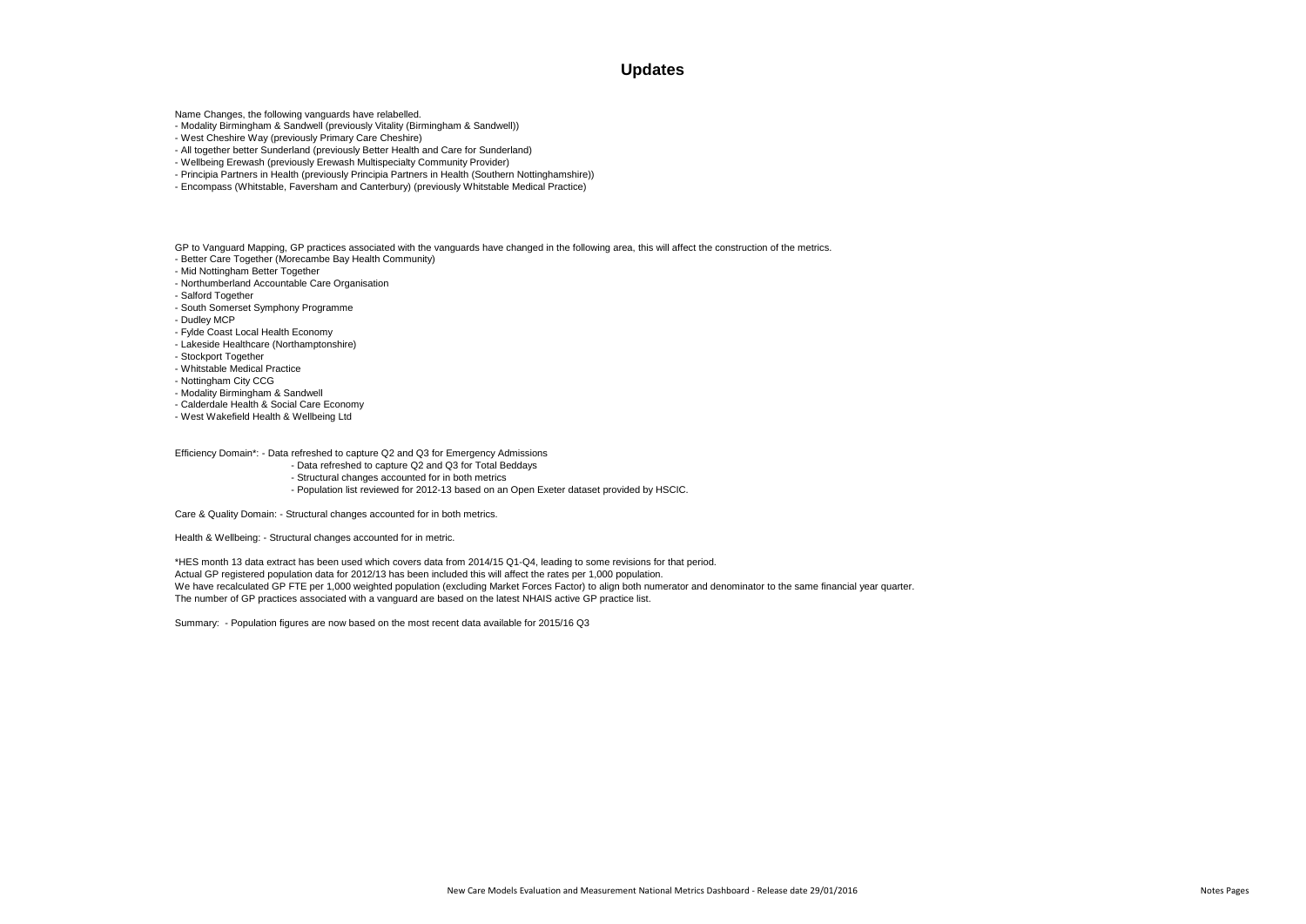## **Updates**

Name Changes, the following vanguards have relabelled.

- Modality Birmingham & Sandwell (previously Vitality (Birmingham & Sandwell))
- West Cheshire Way (previously Primary Care Cheshire)
- All together better Sunderland (previously Better Health and Care for Sunderland)
- Wellbeing Erewash (previously Erewash Multispecialty Community Provider)
- Principia Partners in Health (previously Principia Partners in Health (Southern Nottinghamshire))
- Encompass (Whitstable, Faversham and Canterbury) (previously Whitstable Medical Practice)

GP to Vanguard Mapping, GP practices associated with the vanguards have changed in the following area, this will affect the construction of the metrics. - Better Care Together (Morecambe Bay Health Community)

- Mid Nottingham Better Together
- Northumberland Accountable Care Organisation
- Salford Together
- South Somerset Symphony Programme
- Dudley MCP
- Fylde Coast Local Health Economy
- Lakeside Healthcare (Northamptonshire)
- Stockport Together
- Whitstable Medical Practice
- Nottingham City CCG
- Modality Birmingham & Sandwell
- Calderdale Health & Social Care Economy
- West Wakefield Health & Wellbeing Ltd

We have recalculated GP FTE per 1,000 weighted population (excluding Market Forces Factor) to align both numerator and denominator to the same financial year quarter. The number of GP practices associated with a vanguard are based on the latest NHAIS active GP practice list.

Efficiency Domain\*: - Data refreshed to capture Q2 and Q3 for Emergency Admissions

- Data refreshed to capture Q2 and Q3 for Total Beddays
- Structural changes accounted for in both metrics
- Population list reviewed for 2012-13 based on an Open Exeter dataset provided by HSCIC.

Care & Quality Domain: - Structural changes accounted for in both metrics.

Health & Wellbeing: - Structural changes accounted for in metric.

\*HES month 13 data extract has been used which covers data from 2014/15 Q1-Q4, leading to some revisions for that period.

Actual GP registered population data for 2012/13 has been included this will affect the rates per 1,000 population.

Summary: - Population figures are now based on the most recent data available for 2015/16 Q3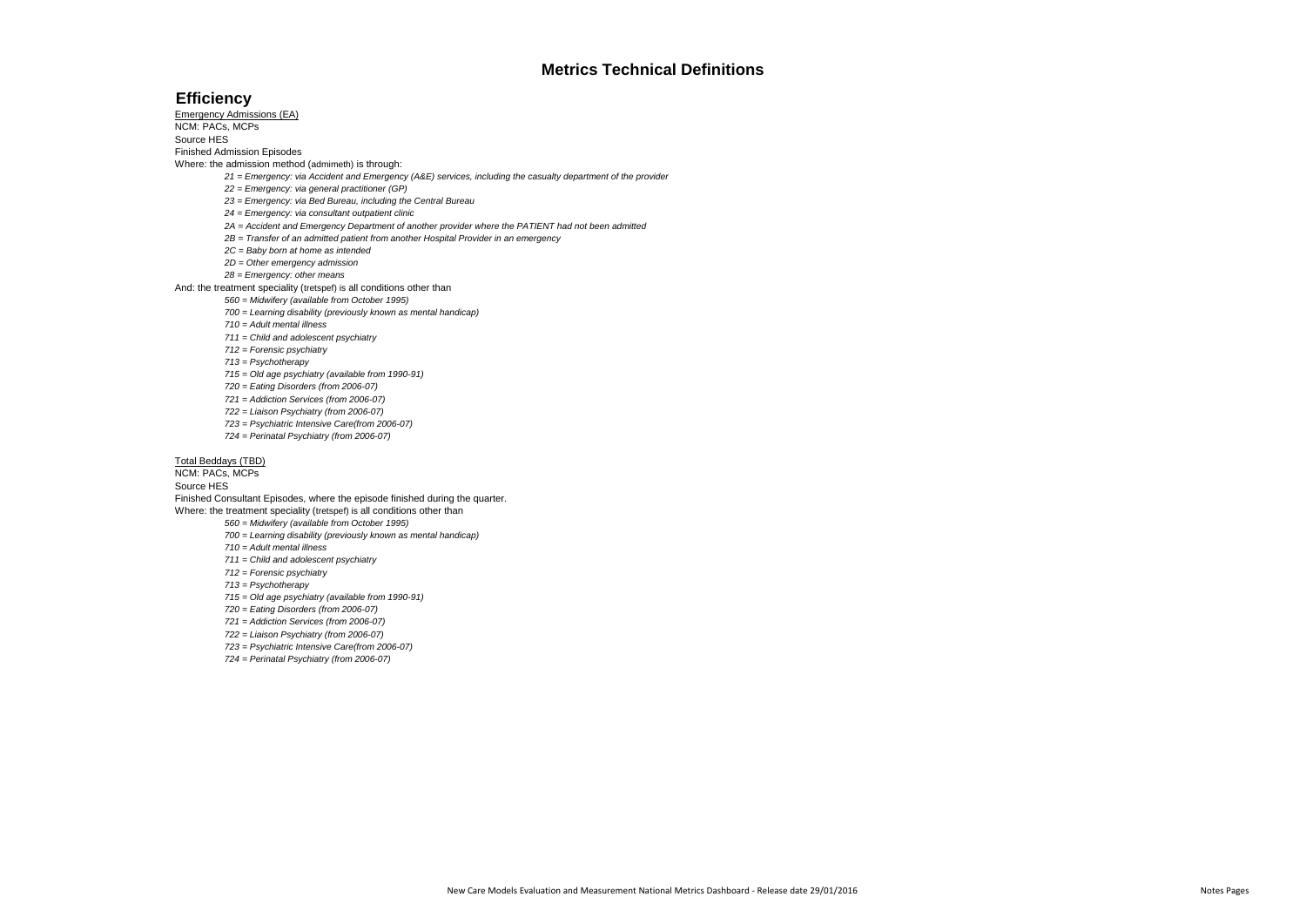## **Efficiency**

Emergency Admissions (EA)

NCM: PACs, MCPs Source HES

Finished Admission Episodes

Where: the admission method (admimeth) is through:

*21 = Emergency: via Accident and Emergency (A&E) services, including the casualty department of the provider*

*22 = Emergency: via general practitioner (GP)*

*23 = Emergency: via Bed Bureau, including the Central Bureau*

*24 = Emergency: via consultant outpatient clinic*

*2A = Accident and Emergency Department of another provider where the PATIENT had not been admitted* 

- *2B = Transfer of an admitted patient from another Hospital Provider in an emergency*
- *2C = Baby born at home as intended*
- *2D = Other emergency admission*
- *28 = Emergency: other means*

And: the treatment speciality (tretspef) is all conditions other than

*560 = Midwifery (available from October 1995)*

*700 = Learning disability (previously known as mental handicap)*

*710 = Adult mental illness*

*711 = Child and adolescent psychiatry*

*712 = Forensic psychiatry*

*713 = Psychotherapy*

*715 = Old age psychiatry (available from 1990-91)*

*720 = Eating Disorders (from 2006-07)*

*721 = Addiction Services (from 2006-07)*

*722 = Liaison Psychiatry (from 2006-07)*

- *723 = Psychiatric Intensive Care(from 2006-07)*
- *724 = Perinatal Psychiatry (from 2006-07)*

## Total Beddays (TBD)

NCM: PACs, MCPs

Source HES

Finished Consultant Episodes, where the episode finished during the quarter. Where: the treatment speciality (tretspef) is all conditions other than

*560 = Midwifery (available from October 1995)*

*700 = Learning disability (previously known as mental handicap)*

*710 = Adult mental illness*

*711 = Child and adolescent psychiatry*

- *712 = Forensic psychiatry*
- *713 = Psychotherapy*

*715 = Old age psychiatry (available from 1990-91)*

*720 = Eating Disorders (from 2006-07)*

*721 = Addiction Services (from 2006-07)*

*722 = Liaison Psychiatry (from 2006-07)*

*723 = Psychiatric Intensive Care(from 2006-07)*

*724 = Perinatal Psychiatry (from 2006-07)*

## **Metrics Technical Definitions**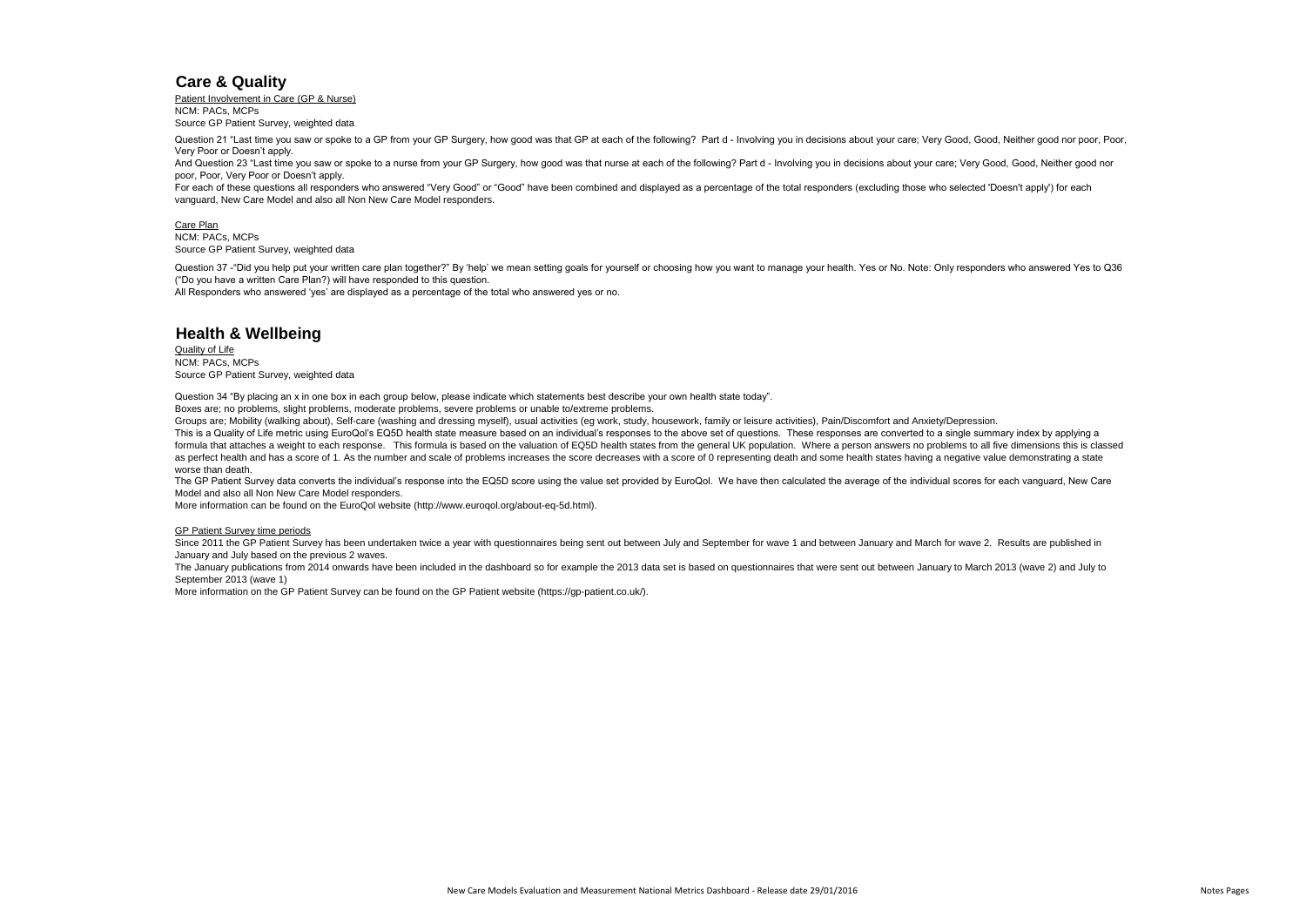## **Care & Quality**

Patient Involvement in Care (GP & Nurse) NCM: PACs, MCPs Source GP Patient Survey, weighted data

Care Plan NCM: PACs, MCPs Source GP Patient Survey, weighted data

# **Health & Wellbeing**

Quality of Life NCM: PACs, MCPs Source GP Patient Survey, weighted data

## GP Patient Survey time periods

Question 37 -"Did you help put your written care plan together?" By 'help' we mean setting goals for yourself or choosing how you want to manage your health. Yes or No. Note: Only responders who answered Yes to Q36 ("Do you have a written Care Plan?) will have responded to this question.

More information on the GP Patient Survey can be found on the GP Patient website (https://gp-patient.co.uk/).

All Responders who answered 'yes' are displayed as a percentage of the total who answered yes or no.

Question 34 "By placing an x in one box in each group below, please indicate which statements best describe your own health state today".

Groups are; Mobility (walking about), Self-care (washing and dressing myself), usual activities (eg work, study, housework, family or leisure activities), Pain/Discomfort and Anxiety/Depression. This is a Quality of Life metric using EuroQol's EQ5D health state measure based on an individual's responses to the above set of questions. These responses are converted to a single summary index by applying a formula that attaches a weight to each response. This formula is based on the valuation of EQ5D health states from the general UK population. Where a person answers no problems to all five dimensions this is classed as perfect health and has a score of 1. As the number and scale of problems increases the score decreases with a score of 0 representing death and some health states having a negative value demonstrating a state worse than death.

Boxes are; no problems, slight problems, moderate problems, severe problems or unable to/extreme problems.

Since 2011 the GP Patient Survey has been undertaken twice a year with questionnaires being sent out between July and September for wave 1 and between January and March for wave 2. Results are published in January and July based on the previous 2 waves.

Question 21 "Last time you saw or spoke to a GP from your GP Surgery, how good was that GP at each of the following? Part d - Involving you in decisions about your care; Very Good, Good, Neither good nor poor, Poor, Very Poor or Doesn't apply.

And Question 23 "Last time you saw or spoke to a nurse from your GP Surgery, how good was that nurse at each of the following? Part d - Involving you in decisions about your care; Very Good, Good, Neither good nor poor, Poor, Very Poor or Doesn't apply.

For each of these questions all responders who answered "Very Good" or "Good" have been combined and displayed as a percentage of the total responders (excluding those who selected 'Doesn't apply') for each vanguard, New Care Model and also all Non New Care Model responders.

The GP Patient Survey data converts the individual's response into the EQ5D score using the value set provided by EuroQol. We have then calculated the average of the individual scores for each vanguard, New Care Model and also all Non New Care Model responders.

More information can be found on the EuroQol website (http://www.euroqol.org/about-eq-5d.html).

The January publications from 2014 onwards have been included in the dashboard so for example the 2013 data set is based on questionnaires that were sent out between January to March 2013 (wave 2) and July to September 2013 (wave 1)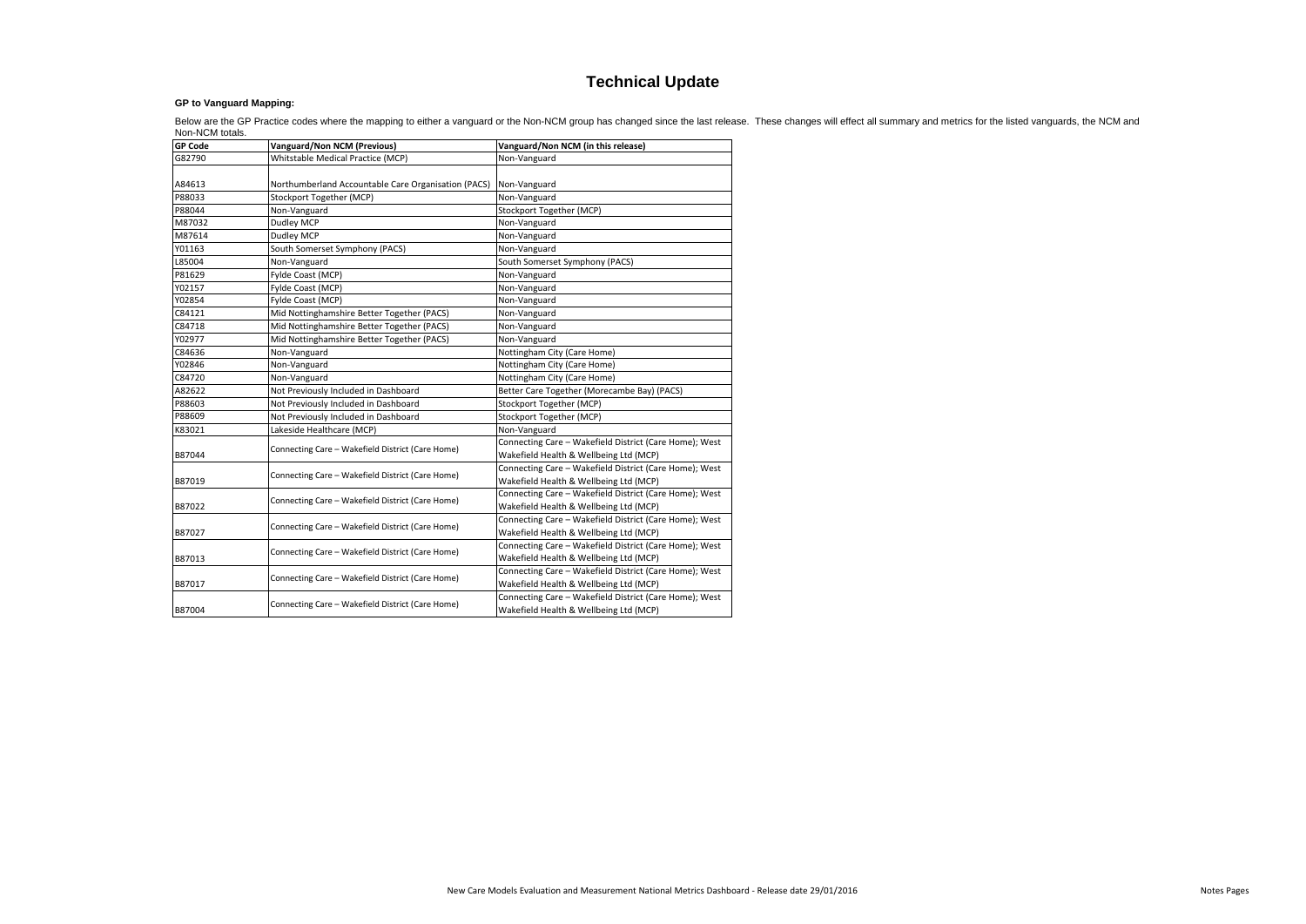## **GP to Vanguard Mapping:**

| <b>GP Code</b> | <b>Vanguard/Non NCM (Previous)</b>                  | Vanguard/Non NCM (in this release)                                                               |  |  |  |  |  |
|----------------|-----------------------------------------------------|--------------------------------------------------------------------------------------------------|--|--|--|--|--|
| G82790         | Whitstable Medical Practice (MCP)                   | Non-Vanguard                                                                                     |  |  |  |  |  |
| A84613         | Northumberland Accountable Care Organisation (PACS) | Non-Vanguard                                                                                     |  |  |  |  |  |
| P88033         | Stockport Together (MCP)                            | Non-Vanguard                                                                                     |  |  |  |  |  |
| P88044         | Non-Vanguard                                        | Stockport Together (MCP)                                                                         |  |  |  |  |  |
| M87032         | Dudley MCP                                          | Non-Vanguard                                                                                     |  |  |  |  |  |
| M87614         | Dudley MCP                                          | Non-Vanguard                                                                                     |  |  |  |  |  |
| Y01163         | South Somerset Symphony (PACS)                      | Non-Vanguard                                                                                     |  |  |  |  |  |
| L85004         | Non-Vanguard                                        | South Somerset Symphony (PACS)                                                                   |  |  |  |  |  |
| P81629         | Fylde Coast (MCP)                                   | Non-Vanguard                                                                                     |  |  |  |  |  |
| Y02157         | Fylde Coast (MCP)                                   | Non-Vanguard                                                                                     |  |  |  |  |  |
| Y02854         | Fylde Coast (MCP)                                   | Non-Vanguard                                                                                     |  |  |  |  |  |
| C84121         | Mid Nottinghamshire Better Together (PACS)          | Non-Vanguard                                                                                     |  |  |  |  |  |
| C84718         | Mid Nottinghamshire Better Together (PACS)          | Non-Vanguard                                                                                     |  |  |  |  |  |
| Y02977         | Mid Nottinghamshire Better Together (PACS)          | Non-Vanguard                                                                                     |  |  |  |  |  |
| C84636         | Non-Vanguard                                        | Nottingham City (Care Home)                                                                      |  |  |  |  |  |
| Y02846         | Non-Vanguard                                        | Nottingham City (Care Home)                                                                      |  |  |  |  |  |
| C84720         | Non-Vanguard                                        | Nottingham City (Care Home)                                                                      |  |  |  |  |  |
| A82622         | Not Previously Included in Dashboard                | Better Care Together (Morecambe Bay) (PACS)                                                      |  |  |  |  |  |
| P88603         | Not Previously Included in Dashboard                | Stockport Together (MCP)                                                                         |  |  |  |  |  |
| P88609         | Not Previously Included in Dashboard                | Stockport Together (MCP)                                                                         |  |  |  |  |  |
| K83021         | Lakeside Healthcare (MCP)                           | Non-Vanguard                                                                                     |  |  |  |  |  |
| B87044         | Connecting Care - Wakefield District (Care Home)    | Connecting Care - Wakefield District (Care Home); West<br>Wakefield Health & Wellbeing Ltd (MCP) |  |  |  |  |  |
| B87019         | Connecting Care - Wakefield District (Care Home)    | Connecting Care - Wakefield District (Care Home); West<br>Wakefield Health & Wellbeing Ltd (MCP) |  |  |  |  |  |
| B87022         | Connecting Care - Wakefield District (Care Home)    | Connecting Care - Wakefield District (Care Home); West<br>Wakefield Health & Wellbeing Ltd (MCP) |  |  |  |  |  |
| B87027         | Connecting Care - Wakefield District (Care Home)    | Connecting Care - Wakefield District (Care Home); West<br>Wakefield Health & Wellbeing Ltd (MCP) |  |  |  |  |  |
| B87013         | Connecting Care - Wakefield District (Care Home)    | Connecting Care - Wakefield District (Care Home); West<br>Wakefield Health & Wellbeing Ltd (MCP) |  |  |  |  |  |
| B87017         | Connecting Care - Wakefield District (Care Home)    | Connecting Care - Wakefield District (Care Home); West<br>Wakefield Health & Wellbeing Ltd (MCP) |  |  |  |  |  |
| B87004         | Connecting Care - Wakefield District (Care Home)    | Connecting Care - Wakefield District (Care Home); West<br>Wakefield Health & Wellbeing Ltd (MCP) |  |  |  |  |  |

Below are the GP Practice codes where the mapping to either a vanguard or the Non-NCM group has changed since the last release. These changes will effect all summary and metrics for the listed vanguards, the NCM and Non-NCM totals.

# **Technical Update**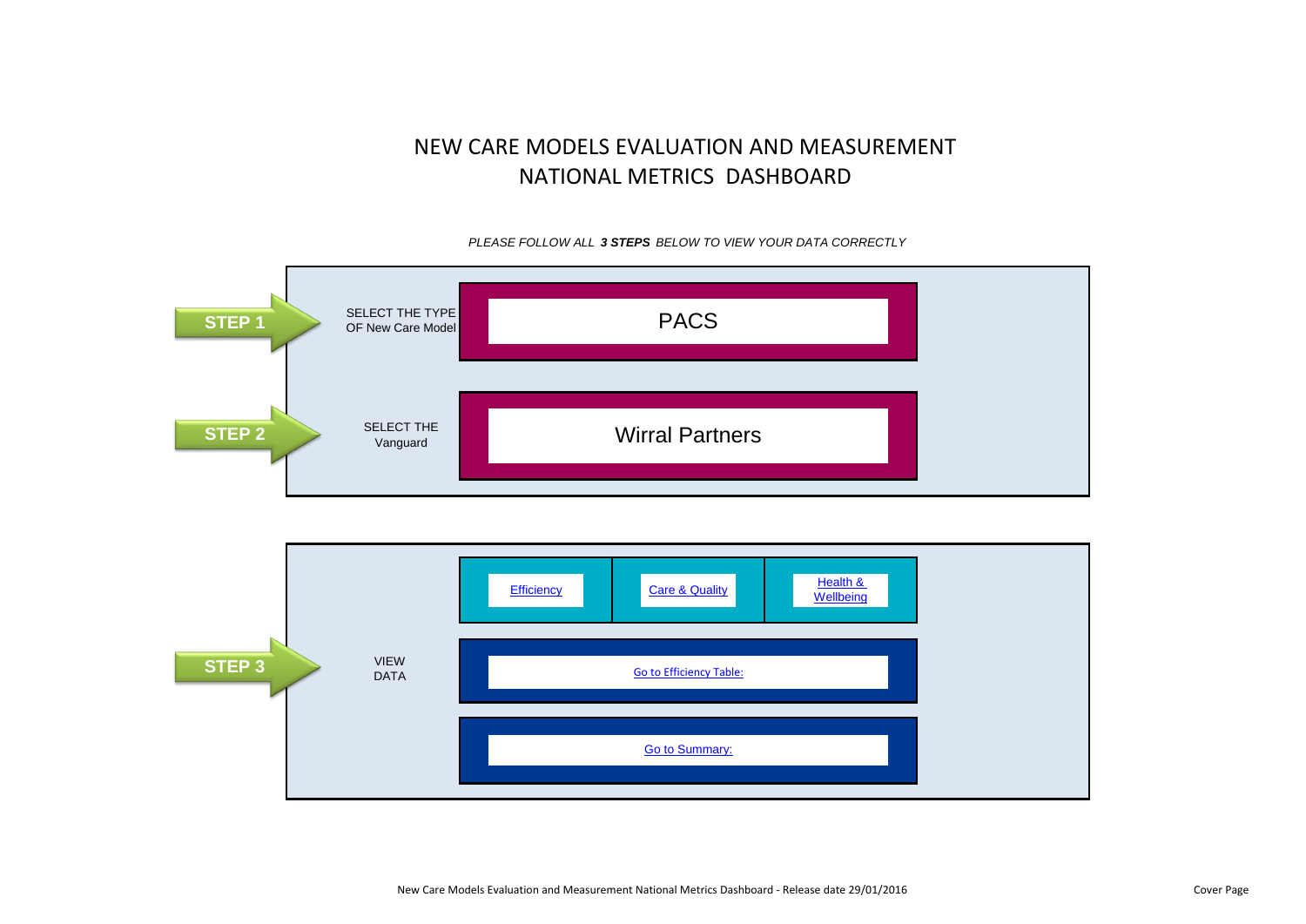



New Care Models Evaluation and Measurement National Metrics Dashboard - Release date 29/01/2016 Cover Page Cover Page



*PLEASE FOLLOW ALL 3 STEPS BELOW TO VIEW YOUR DATA CORRECTLY*

# NEW CARE MODELS EVALUATION AND MEASUREMENT NATIONAL METRICS DASHBOARD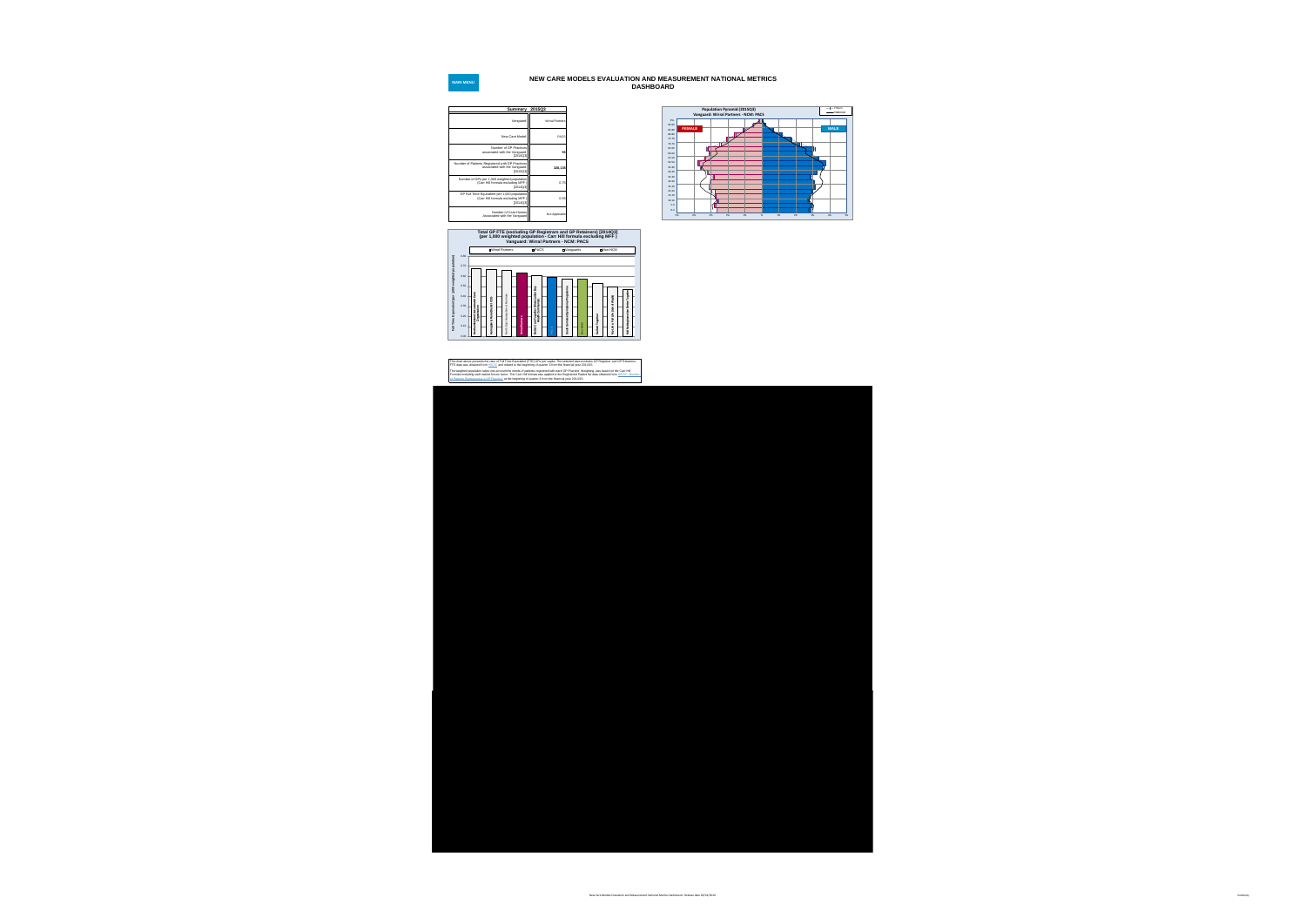







## **NEW CARE MODELS EVALUATION AND MEASUREMENT NATIONAL METRICS DASHBOARD**



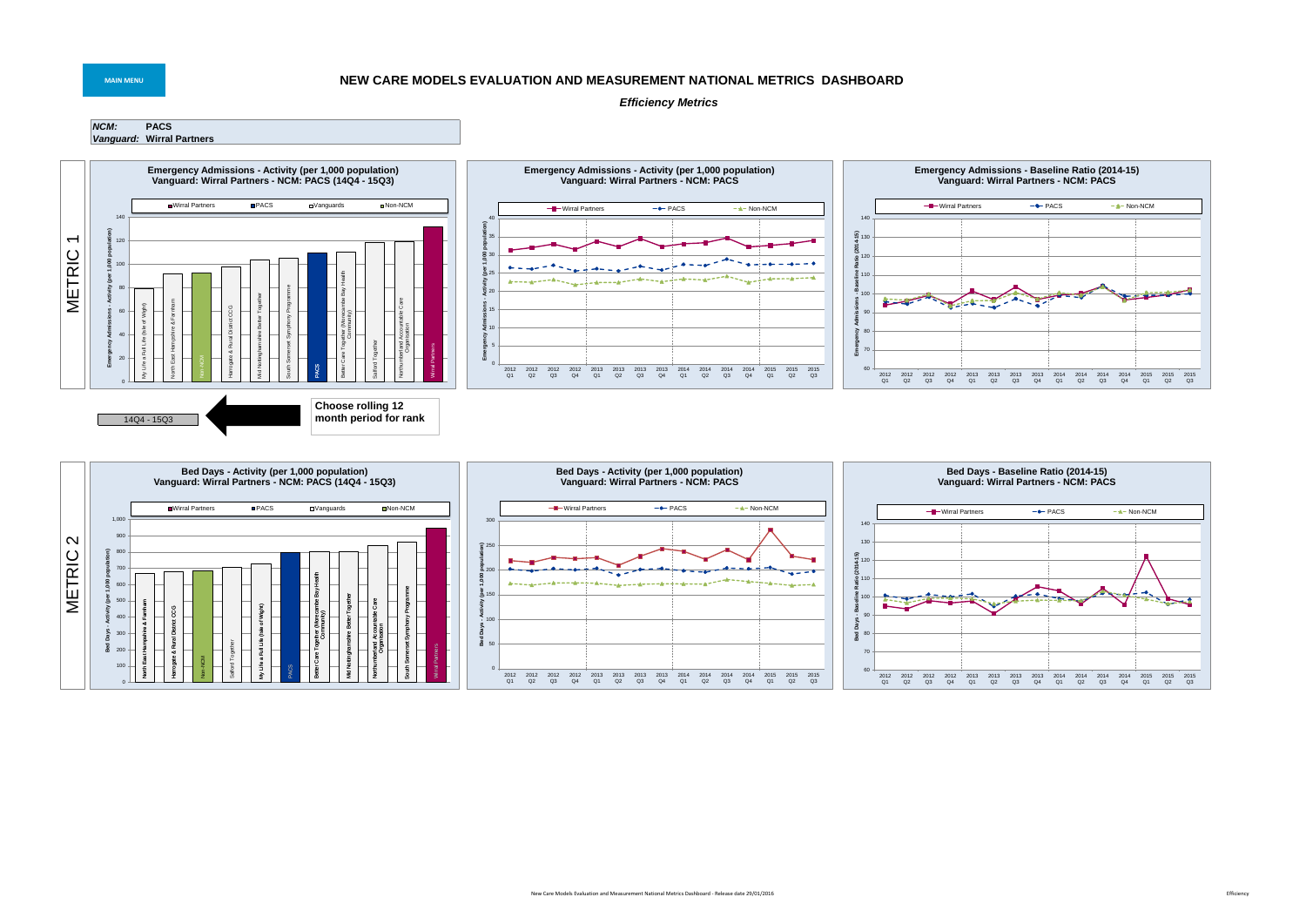

## **MAIN MENU NEW CARE MODELS EVALUATION AND MEASUREMENT NATIONAL METRICS DASHBOARD**



## *Efficiency Metrics*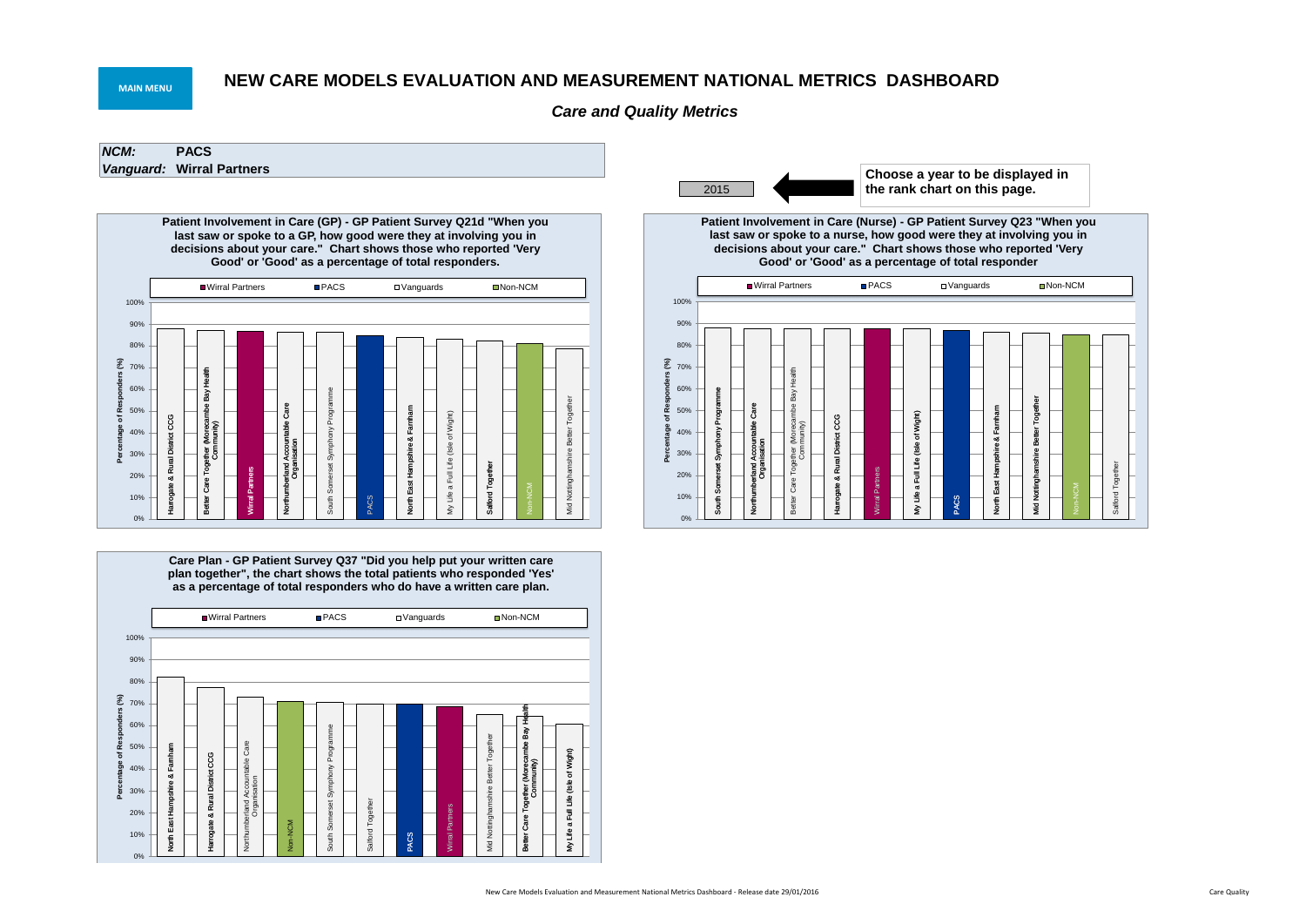*NCM:* **PACS** *Vanguard:* **Wirral Partners**

# **NEW CARE MODELS EVALUATION AND MEASUREMENT NATIONAL METRICS DASHBOARD**

*Care and Quality Metrics*

## **MAIN MENU**







**Care Plan - GP Patient Survey Q37 "Did you help put your written care plan together", the chart shows the total patients who responded 'Yes' as a percentage of total responders who do have a written care plan.**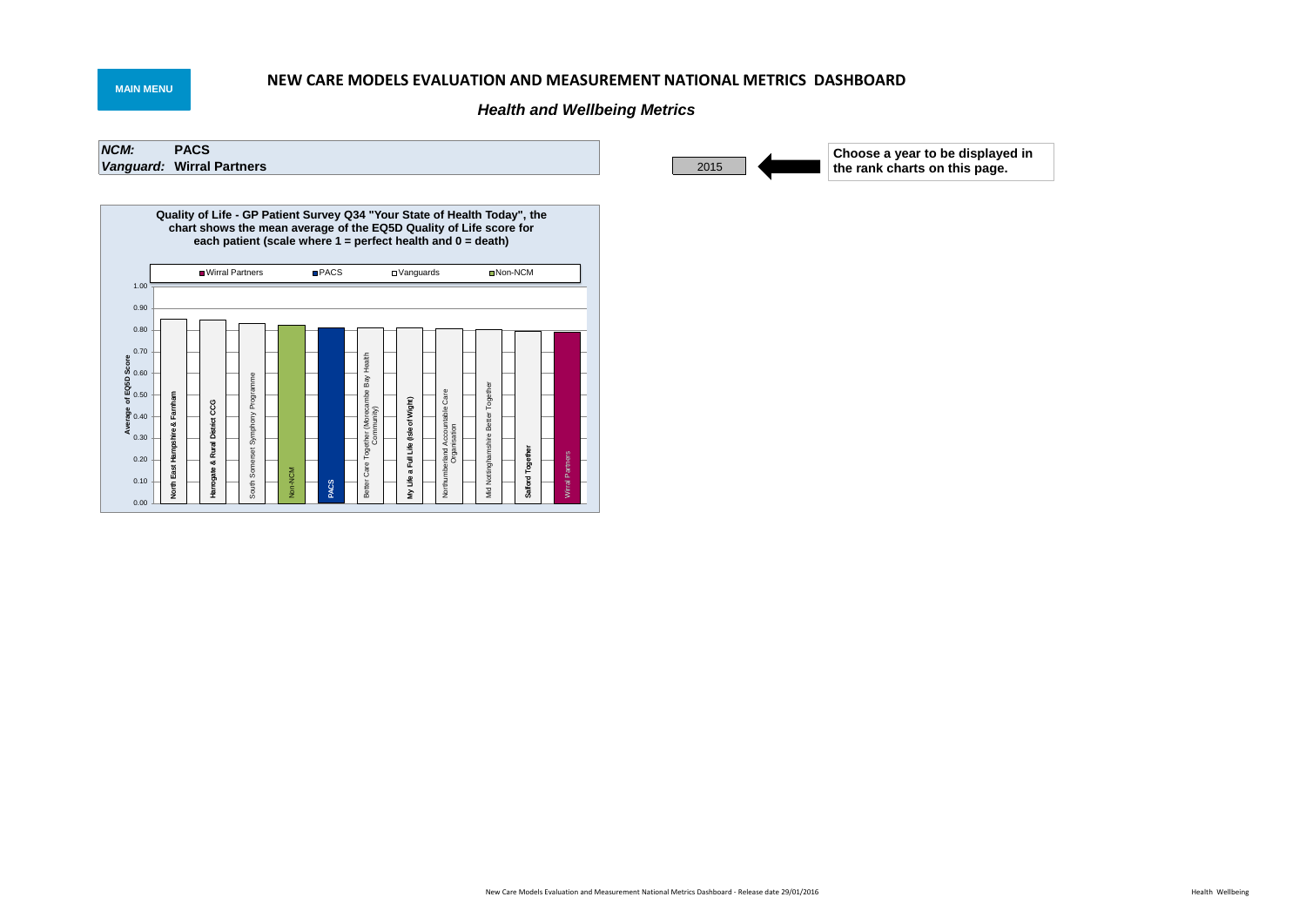# **NEW CARE MODELS EVALUATION AND MEASUREMENT NATIONAL METRICS DASHBOARD**

# *Health and Wellbeing Metrics*